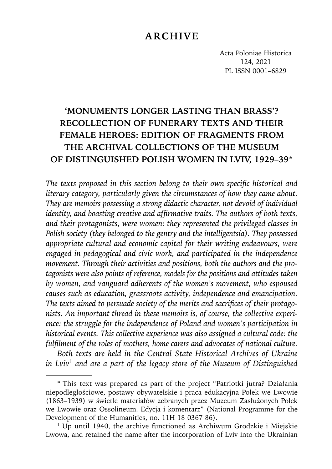# **ARCHIVE**

Acta Poloniae Historica 124, 2021 PL ISSN 0001–6829

# **'MONUMENTS LONGER LASTING THAN BRASS'? RECOLLECTION OF FUNERARY TEXTS AND THEIR FEMALE HEROES: EDITION OF FRAGMENTS FROM THE ARCHIVAL COLLECTIONS OF THE MUSEUM OF DISTINGUISHED POLISH WOMEN IN LVIV, 1929–39\***

The texts proposed in this section belong to their own specific historical and *literary category, particularly given the circumstances of how they came about. They are memoirs possessing a strong didactic character, not devoid of individual identity, and boasting creative and affirmative traits. The authors of both texts, and their protagonists, were women: they represented the privileged classes in Polish society (they belonged to the gentry and the intelligentsia). They possessed appropriate cultural and economic capital for their writing endeavours, were engaged in pedagogical and civic work, and participated in the independence movement. Through their activities and positions, both the authors and the protagonists were also points of reference, models for the positions and attitudes taken by women, and vanguard adherents of the women's movement, who espoused causes such as education, grassroots activity, independence and emancipation.* The texts aimed to persuade society of the merits and sacrifices of their protago*nists. An important thread in these memoirs is, of course, the collective experience: the struggle for the independence of Poland and women's participation in historical events. This collective experience was also assigned a cultural code: the fulfi lment of the roles of mothers, home carers and advocates of national culture.*

*Both texts are held in the Central State Historical Archives of Ukraine in Lviv*<sup>1</sup> *and are a part of the legacy store of the Museum of Distinguished* 

<sup>\*</sup> This text was prepared as part of the project "Patriotki jutra? Działania niepodległościowe, postawy obywatelskie i praca edukacyjna Polek we Lwowie (1863–1939) w świetle materiałów zebranych przez Muzeum Zasłużonych Polek we Lwowie oraz Ossolineum. Edycja i komentarz" (National Programme for the Development of the Humanities, no. 11H 18 0367 86).

 $1$  Up until 1940, the archive functioned as Archiwum Grodzkie i Miejskie Lwowa, and retained the name after the incorporation of Lviv into the Ukrainian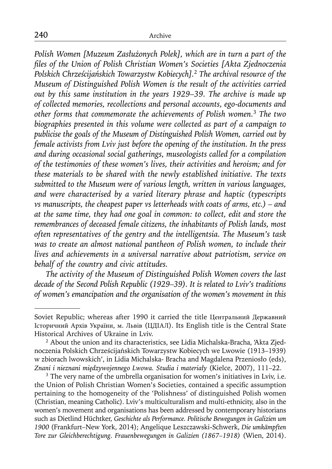*Polish Women [Muzeum Zasłużonych Polek], which are in turn a part of the fi les of the Union of Polish Christian Women's Societies [Akta Zjednoczenia Polskich Chrześcijańskich Towarzystw Kobiecych].*<sup>2</sup> *The archival resource of the Museum of Distinguished Polish Women is the result of the activities carried out by this same institution in the years 1929–39. The archive is made up of collected memories, recollections and personal accounts, ego-documents and other forms that commemorate the achievements of Polish women.*<sup>3</sup> *The two biographies presented in this volume were collected as part of a campaign to publicise the goals of the Museum of Distinguished Polish Women, carried out by female activists from Lviv just before the opening of the institution. In the press and during occasional social gatherings, museologists called for a compilation of the testimonies of these women's lives, their activities and heroism; and for these materials to be shared with the newly established initiative. The texts submitted to the Museum were of various length, written in various languages, and were characterised by a varied literary phrase and haptic (typescripts vs manuscripts, the cheapest paper vs letterheads with coats of arms, etc.) – and at the same time, they had one goal in common: to collect, edit and store the remembrances of deceased female citizens, the inhabitants of Polish lands, most often representatives of the gentry and the intelligentsia. The Museum's task was to create an almost national pantheon of Polish women, to include their lives and achievements in a universal narrative about patriotism, service on behalf of the country and civic attitudes.*

*The activity of the Museum of Distinguished Polish Women covers the last decade of the Second Polish Republic (1929–39). It is related to Lviv's traditions of women's emancipation and the organisation of the women's movement in this* 

Soviet Republic; whereas after 1990 it carried the title Центральний Державний Історичний Архів України, м. Львів (ЦДІАЛ). Its English title is the Central State Historical Archives of Ukraine in Lviv.

<sup>&</sup>lt;sup>2</sup> About the union and its characteristics, see Lidia Michalska-Bracha, 'Akta Zjednoczenia Polskich Chrześcijańskich Towarzystw Kobiecych we Lwowie (1913–1939) w zbiorach lwowskich', in Lidia Michalska- Bracha and Magdalena Przeniosło (eds), *Znani i nieznani międzywojennego Lwowa. Studia i materiały* (Kielce, 2007), 111–22. 3 The very name of the umbrella organisation for women's initiatives in Lviv, i.e.

the Union of Polish Christian Women's Societies, contained a specific assumption pertaining to the homogeneity of the 'Polishness' of distinguished Polish women (Christian, meaning Catholic). Lviv's multiculturalism and multi-ethnicity, also in the women's movement and organisations has been addressed by contemporary historians such as Dietlind Hüchtker, *Geschichte als Performance. Politische Bewegungen in Galizien um 1900* (Frankfurt–New York, 2014); Angelique Leszczawski-Schwerk, *Die umkämpften Tore zur Gleichberechtigung. Frauenbewegungen in Galizien (1867–1918)* (Wien, 2014).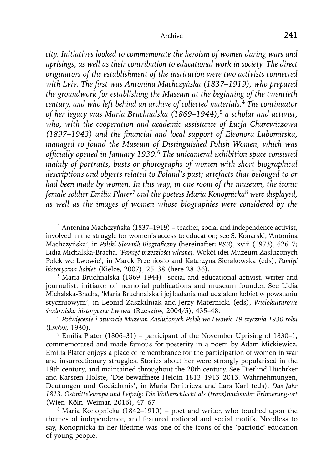*city. Initiatives looked to commemorate the heroism of women during wars and uprisings, as well as their contribution to educational work in society. The direct originators of the establishment of the institution were two activists connected with Lviv. The first was Antonina Machczyńska (1837–1919), who prepared the groundwork for establishing the Museum at the beginning of the twentieth century, and who left behind an archive of collected materials.*<sup>4</sup> *The continuator of her legacy was Maria Bruchnalska (1869–1944),*<sup>5</sup> *a scholar and activist, who, with the cooperation and academic assistance of Łucja Charewiczowa (1897–1943)* and the financial and local support of *Eleonora Lubomirska*, *managed to found the Museum of Distinguished Polish Women, which was offi cially opened in January 1930.*<sup>6</sup> *The unicameral exhibition space consisted mainly of portraits, busts or photographs of women with short biographical descriptions and objects related to Poland's past; artefacts that belonged to or had been made by women. In this way, in one room of the museum, the iconic female soldier Emilia Plater*<sup>7</sup> *and the poetess Maria Konopnicka*<sup>8</sup> *were displayed, as well as the images of women whose biographies were considered by the* 

<sup>4</sup> Antonina Machczyńska (1837–1919) – teacher, social and independence activist, involved in the struggle for women's access to education; see S. Konarski, 'Antonina Machczyńska', in *Polski Słownik Biograficzny* (hereinafter: *PSB*), xviii (1973), 626–7; Lidia Michalska-Bracha, '*Pamięć przeszłości własnej.* Wokół idei Muzeum Zasłużonych Polek we Lwowie', in Marek Przeniosło and Katarzyna Sierakowska (eds), *Pamięć historyczna kobiet* (Kielce, 2007), 25–38 (here 28–36). 5 Maria Bruchnalska (1869–1944)– social and educational activist, writer and

journalist, initiator of memorial publications and museum founder. See Lidia Michalska-Bracha, 'Maria Bruchnalska i jej badania nad udziałem kobiet w powstaniu styczniowym', in Leonid Zaszkilniak and Jerzy Maternicki (eds), *Wielokulturowe środowisko historyczne Lwowa* (Rzeszów, 2004/5), 435–48.

<sup>6</sup>*Poświęcenie i otwarcie Muzeum Zasłużonych Polek we Lwowie 19 stycznia 1930 roku* (Lwów, 1930).<br><sup>7</sup> Emilia Plater (1806–31) – participant of the November Uprising of 1830–1,

commemorated and made famous for posterity in a poem by Adam Mickiewicz. Emilia Plater enjoys a place of remembrance for the participation of women in war and insurrectionary struggles. Stories about her were strongly popularised in the 19th century, and maintained throughout the 20th century. See Dietlind Hüchtker and Karsten Holste, 'Die bewaffnete Heldin 1813–1913–2013: Wahrnehmungen, Deutungen und Gedächtnis', in Maria Dmitrieva and Lars Karl (eds), *Das Jahr 1813. Ostmitteleuropa und Leipzig: Die Völkerschlacht als (trans)nationaler Erinnerungsort* (Wien–Köln–Weimar, 2016), 47–67.

<sup>8</sup> Maria Konopnicka (1842–1910) – poet and writer, who touched upon the themes of independence, and featured national and social motifs. Needless to say, Konopnicka in her lifetime was one of the icons of the 'patriotic' education of young people.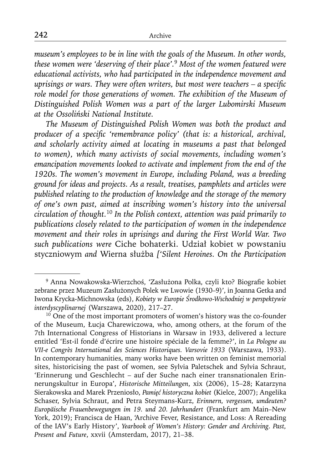*museum's employees to be in line with the goals of the Museum. In other words, these women were 'deserving of their place'.*<sup>9</sup> *Most of the women featured were educational activists, who had participated in the independence movement and uprisings or wars. They were often writers, but most were teachers – a specific role model for those generations of women. The exhibition of the Museum of Distinguished Polish Women was a part of the larger Lubomirski Museum at the Ossoliński National Institute.*

*The Museum of Distinguished Polish Women was both the product and producer of a specific 'remembrance policy' (that is: a historical, archival, and scholarly activity aimed at locating in museums a past that belonged to women), which many activists of social movements, including women's emancipation movements looked to activate and implement from the end of the 1920s. The women's movement in Europe, including Poland, was a breeding ground for ideas and projects. As a result, treatises, pamphlets and articles were published relating to the production of knowledge and the storage of the memory of one's own past, aimed at inscribing women's history into the universal circulation of thought.*<sup>10</sup> *In the Polish context, attention was paid primarily to publications closely related to the participation of women in the independence movement and their roles in uprisings and during the First World War. Two such publications were* Ciche bohaterki. Udział kobiet w powstaniu styczniowym *and* Wierna służba *['Silent Heroines. On the Participation* 

<sup>&</sup>lt;sup>9</sup> Anna Nowakowska-Wierzchoś, 'Zasłużona Polka, czyli kto? Biografie kobiet zebrane przez Muzeum Zasłużonych Polek we Lwowie (1930–9)', in Joanna Getka and Iwona Krycka-Michnowska (eds), *Kobiety w Europie Środkowo-Wschodniej w perspektywie interdyscyplinarnej* (Warszawa, 2020), 217–27.

<sup>&</sup>lt;sup>10</sup> One of the most important promoters of women's history was the co-founder of the Museum, Łucja Charewiczowa, who, among others, at the forum of the 7th International Congress of Historians in Warsaw in 1933, delivered a lecture entitled 'Est-il fondé d'écrire une histoire spéciale de la femme?', in *La Pologne au VII-e Congrès International des Sciences Historiques. Varsovie 1933* (Warszawa, 1933). In contemporary humanities, many works have been written on feminist memorial sites, historicising the past of women, see Sylvia Paletschek and Sylvia Schraut, 'Erinnerung und Geschlecht – auf der Suche nach einer transnationalen Erinnerungskultur in Europa', *Historische Mitteilungen*, xix (2006), 15–28; Katarzyna Sierakowska and Marek Przeniosło, *Pamięć historyczna kobiet* (Kielce, 2007); Angelika Schaser, Sylvia Schraut, and Petra Steymans-Kurz, *Erinnern, vergessen, umdeuten? Europäische Frauenbewegungen im 19. und 20. Jahrhundert* (Frankfurt am Main*–*New York, 2019); Francisca de Haan, 'Archive Fever, Resistance, and Loss: A Rereading of the IAV's Early History', *Yearbook of Women's History: Gender and Archiving. Past, Present and Future*, xxvii (Amsterdam, 2017), 21*–*38.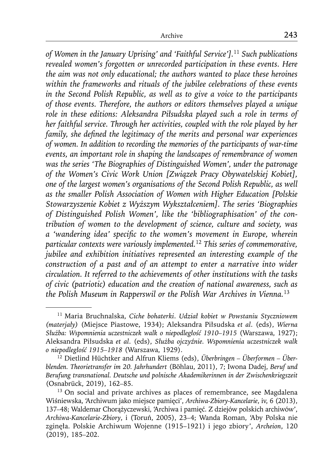*of Women in the January Uprising' and 'Faithful Service'].*<sup>11</sup> *Such publications revealed women's forgotten or unrecorded participation in these events. Here the aim was not only educational; the authors wanted to place these heroines within the frameworks and rituals of the jubilee celebrations of these events in the Second Polish Republic, as well as to give a voice to the participants of those events. Therefore, the authors or editors themselves played a unique role in these editions: Aleksandra Piłsudska played such a role in terms of her faithful service. Through her activities, coupled with the role played by her family, she defined the legitimacy of the merits and personal war experiences of women. In addition to recording the memories of the participants of war-time events, an important role in shaping the landscapes of remembrance of women was the series 'The Biographies of Distinguished Women', under the patronage of the Women's Civic Work Union [Związek Pracy Obywatelskiej Kobiet], one of the largest women's organisations of the Second Polish Republic, as well as the smaller Polish Association of Women with Higher Education [Polskie Stowarzyszenie Kobiet z Wyższym Wykształceniem]. The series 'Biographies of Distinguished Polish Women', like the 'bibliographisation' of the contribution of women to the development of science, culture and society, was a 'wandering idea' specifi c to the women's movement in Europe, wherein particular contexts were variously implemented.*<sup>12</sup> *This series of commemorative, jubilee and exhibition initiatives represented an interesting example of the construction of a past and of an attempt to enter a narrative into wider circulation. It referred to the achievements of other institutions with the tasks of civic (patriotic) education and the creation of national awareness, such as the Polish Museum in Rapperswil or the Polish War Archives in Vienna.*<sup>13</sup>

<sup>11</sup> Maria Bruchnalska, *Ciche bohaterki*. *Udział kobiet w Powstaniu Styczniowem (materjały)* (Miejsce Piastowe, 1934); Aleksandra Piłsudska *et al*. (eds), *Wierna Służba: Wspomnienia uczestniczek walk o niepodległość 1910–1915* (Warszawa, 1927); Aleksandra Piłsudska *et al*. (eds), *Służba ojczyźnie. Wspomnienia uczestniczek walk o niepodległość 1915–1918* (Warszawa, 1929).

<sup>12</sup> Dietlind Hüchtker and Alfrun Kliems (eds), *Überbringen – Überformen – Überblenden. Theorietransfer im 20. Jahrhundert* (Böhlau, 2011), 7; Iwona Dadej, *Beruf und Berufung transnational. Deutsche und polnische Akademikerinnen in der Zwischenkriegszeit* (Osnabrück, 2019), 162*–*85.

<sup>&</sup>lt;sup>13</sup> On social and private archives as places of remembrance, see Magdalena Wiśniewska, 'Archiwum jako miejsce pamięci', *Archiwa-Zbiory-Kancelarie*, iv, 6 (2013), 137*–*48; Waldemar Chorążyczewski, 'Archiwa i pamięć. Z dziejów polskich archiwów', *Archiwa-Kancelarie-Zbiory*, i (Toruń, 2005), 23*–*4; Wanda Roman, 'Aby Polska nie zginęła. Polskie Archiwum Wojenne (1915–1921) i jego zbiory', *Archeion*, 120 (2019), 185*–*202.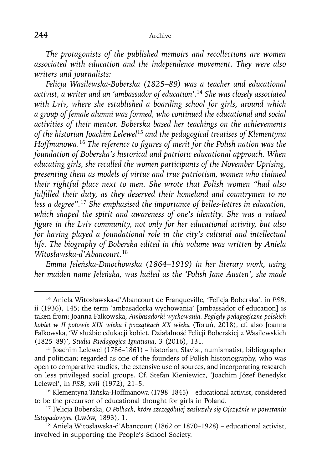*The protagonists of the published memoirs and recollections are women associated with education and the independence movement. They were also writers and journalists:*

*Felicja Wasilewska-Boberska (1825–89) was a teacher and educational activist, a writer and an 'ambassador of education'.*<sup>14</sup> *She was closely associated with Lviv, where she established a boarding school for girls, around which a group of female alumni was formed, who continued the educational and social activities of their mentor. Boberska based her teachings on the achievements of the historian Joachim Lelewel*<sup>15</sup> *and the pedagogical treatises of Klementyna Hoffmanowa.*<sup>16</sup> *The reference to figures of merit for the Polish nation was the foundation of Boberska's historical and patriotic educational approach. When educating girls, she recalled the women participants of the November Uprising, presenting them as models of virtue and true patriotism, women who claimed their rightful place next to men. She wrote that Polish women "had also*  fulfilled their duty, as they deserved their homeland and countrymen to no *less a degree".*<sup>17</sup> *She emphasised the importance of belles-lettres in education, which shaped the spirit and awareness of one's identity. She was a valued figure in the Lviv community, not only for her educational activity, but also for having played a foundational role in the city's cultural and intellectual life. The biography of Boberska edited in this volume was written by Aniela Witosławska-d'Abancourt.*<sup>18</sup>

*Emma Jeleńska-Dmochowska (1864–1919) in her literary work, using her maiden name Jeleńska, was hailed as the 'Polish Jane Austen', she made* 

<sup>14</sup> Aniela Witosławska-d'Abancourt de Franqueville, 'Felicja Boberska', in *PSB*, ii (1936), 145; the term 'ambasadorka wychowania' [ambassador of education] is taken from: Joanna Falkowska, *Ambasadorki wychowania. Poglądy pedagogiczne polskich kobiet w II połowie XIX wieku i początkach XX wieku* (Toruń, 2018), cf. also Joanna Falkowska, 'W służbie edukacji kobiet. Działalność Felicji Boberskiej z Wasilewskich (1825–89)', *Studia Paedagogica Ignatiana*, 3 (2016), 131.

<sup>15</sup> Joachim Lelewel (1786–1861) – historian, Slavist, numismatist, bibliographer and politician; regarded as one of the founders of Polish historiography, who was open to comparative studies, the extensive use of sources, and incorporating research on less privileged social groups. Cf. Stefan Kieniewicz, 'Joachim Józef Benedykt Lelewel', in *PSB*, xvii (1972), 21–5.<br><sup>16</sup> Klementyna Tańska-Hoffmanowa (1798–1845) – educational activist, considered

to be the precursor of educational thought for girls in Poland.

<sup>17</sup> Felicja Boberska, *O Polkach, które szczególniej zasłużyły się Ojczyźnie w powstaniu listopadowym* (Lwów, 1893), 1. 18 Aniela Witosławska-d'Abancourt (1862 or 1870*–*1928) – educational activist,

involved in supporting the People's School Society.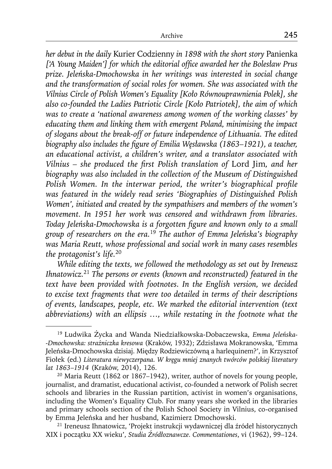*her debut in the daily* Kurier Codzienny *in 1898 with the short story* Panienka ['A Young Maiden'] for which the editorial office awarded her the Bolesław Prus *prize. Jeleńska-Dmochowska in her writings was interested in social change and the transformation of social roles for women. She was associated with the Vilnius Circle of Polish Women's Equality [Koło Równouprawnienia Polek], she also co-founded the Ladies Patriotic Circle [Koło Patriotek], the aim of which was to create a 'national awareness among women of the working classes' by educating them and linking them with emergent Poland, minimising the impact of slogans about the break-off or future independence of Lithuania. The edited biography also includes the figure of Emilia Węsławska (1863–1921), a teacher, an educational activist, a children's writer, and a translator associated with Vilnius – she produced the first Polish translation of Lord Jim, and her biography was also included in the collection of the Museum of Distinguished Polish Women. In the interwar period, the writer's biographical profile was featured in the widely read series 'Biographies of Distinguished Polish Women', initiated and created by the sympathisers and members of the women's movement. In 1951 her work was censored and withdrawn from libraries. Today Jeleńska-Dmochowska is a forgotten figure and known only to a small group of researchers on the era.*<sup>19</sup> *The author of Emma Jeleńska's biography was Maria Reutt, whose professional and social work in many cases resembles the protagonist's life.*<sup>20</sup>

*While editing the texts, we followed the methodology as set out by Ireneusz Ihnatowicz.*<sup>21</sup> *The persons or events (known and reconstructed) featured in the text have been provided with footnotes. In the English version, we decided to excise text fragments that were too detailed in terms of their descriptions of events, landscapes, people, etc. We marked the editorial intervention (text abbreviations) with an ellipsis …, while restating in the footnote what the* 

<sup>19</sup> Ludwika Życka and Wanda Niedziałkowska-Dobaczewska, *Emma Jeleńska- -Dmochowska: strażniczka kresowa* (Kraków, 1932); Zdzisława Mokranowska, 'Emma Jeleńska-Dmochowska dzisiaj. Między Rodziewiczówną a harlequinem?', in Krzysztof Fiołek (ed.) *Literatura niewyczerpana. W kręgu mniej znanych twórców polskiej literatury lat 1863*–*1914* (Kraków, 2014), 126.

 $20$  Maria Reutt (1862 or 1867–1942), writer, author of novels for young people, journalist, and dramatist, educational activist, co-founded a network of Polish secret schools and libraries in the Russian partition, activist in women's organisations, including the Women's Equality Club. For many years she worked in the libraries and primary schools section of the Polish School Society in Vilnius, co-organised by Emma Jeleńska and her husband, Kazimierz Dmochowski.

<sup>21</sup> Ireneusz Ihnatowicz, 'Projekt instrukcji wydawniczej dla źródeł historycznych XIX i początku XX wieku', *Studia Źródłoznawcze. Commentationes*, vi (1962), 99–124.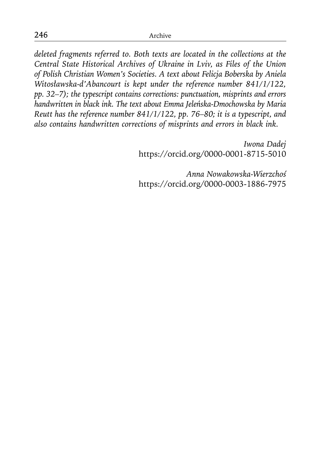*deleted fragments referred to. Both texts are located in the collections at the Central State Historical Archives of Ukraine in Lviv, as Files of the Union of Polish Christian Women's Societies. A text about Felicja Boberska by Aniela Witosławska-d'Abancourt is kept under the reference number 841/1/122, pp. 32–7); the typescript contains corrections: punctuation, misprints and errors handwritten in black ink. The text about Emma Jeleńska-Dmochowska by Maria Reutt has the reference number 841/1/122, pp. 76–80; it is a typescript, and also contains handwritten corrections of misprints and errors in black ink.*

> *Iwona Dadej* https://orcid.org/0000-0001-8715-5010

> *Anna Nowakowska-Wierzchoś* https://orcid.org/0000-0003-1886-7975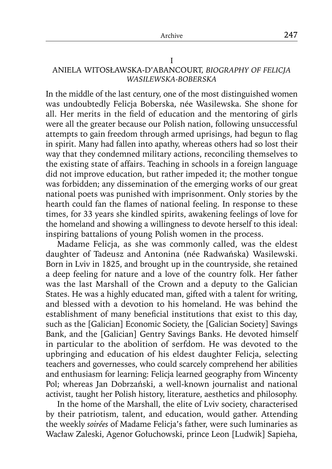#### I

### ANIELA WITOSŁAWSKA-D'ABANCOURT, *BIOGRAPHY OF FELICJA WASILEWSKA-BOBERSKA*

In the middle of the last century, one of the most distinguished women was undoubtedly Felicja Boberska, née Wasilewska. She shone for all. Her merits in the field of education and the mentoring of girls were all the greater because our Polish nation, following unsuccessful attempts to gain freedom through armed uprisings, had begun to flag in spirit. Many had fallen into apathy, whereas others had so lost their way that they condemned military actions, reconciling themselves to the existing state of affairs. Teaching in schools in a foreign language did not improve education, but rather impeded it; the mother tongue was forbidden; any dissemination of the emerging works of our great national poets was punished with imprisonment. Only stories by the hearth could fan the flames of national feeling. In response to these times, for 33 years she kindled spirits, awakening feelings of love for the homeland and showing a willingness to devote herself to this ideal: inspiring battalions of young Polish women in the process.

Madame Felicja, as she was commonly called, was the eldest daughter of Tadeusz and Antonina (née Radwańska) Wasilewski. Born in Lviv in 1825, and brought up in the countryside, she retained a deep feeling for nature and a love of the country folk. Her father was the last Marshall of the Crown and a deputy to the Galician States. He was a highly educated man, gifted with a talent for writing, and blessed with a devotion to his homeland. He was behind the establishment of many beneficial institutions that exist to this day, such as the [Galician] Economic Society, the [Galician Society] Savings Bank, and the [Galician] Gentry Savings Banks. He devoted himself in particular to the abolition of serfdom. He was devoted to the upbringing and education of his eldest daughter Felicja, selecting teachers and governesses, who could scarcely comprehend her abilities and enthusiasm for learning: Felicja learned geography from Wincenty Pol; whereas Jan Dobrzański, a well-known journalist and national activist, taught her Polish history, literature, aesthetics and philosophy.

In the home of the Marshall, the elite of Lviv society, characterised by their patriotism, talent, and education, would gather. Attending the weekly *soirées* of Madame Felicja's father, were such luminaries as Wacław Zaleski, Agenor Gołuchowski, prince Leon [Ludwik] Sapieha,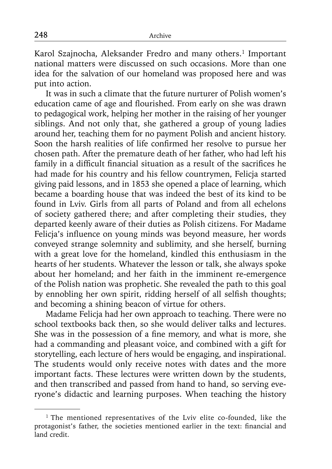Karol Szajnocha, Aleksander Fredro and many others.<sup>1</sup> Important national matters were discussed on such occasions. More than one idea for the salvation of our homeland was proposed here and was put into action.

It was in such a climate that the future nurturer of Polish women's education came of age and flourished. From early on she was drawn to pedagogical work, helping her mother in the raising of her younger siblings. And not only that, she gathered a group of young ladies around her, teaching them for no payment Polish and ancient history. Soon the harsh realities of life confirmed her resolve to pursue her chosen path. After the premature death of her father, who had left his family in a difficult financial situation as a result of the sacrifices he had made for his country and his fellow countrymen, Felicja started giving paid lessons, and in 1853 she opened a place of learning, which became a boarding house that was indeed the best of its kind to be found in Lviv. Girls from all parts of Poland and from all echelons of society gathered there; and after completing their studies, they departed keenly aware of their duties as Polish citizens. For Madame Felicja's influence on young minds was beyond measure, her words conveyed strange solemnity and sublimity, and she herself, burning with a great love for the homeland, kindled this enthusiasm in the hearts of her students. Whatever the lesson or talk, she always spoke about her homeland; and her faith in the imminent re-emergence of the Polish nation was prophetic. She revealed the path to this goal by ennobling her own spirit, ridding herself of all selfish thoughts; and becoming a shining beacon of virtue for others.

Madame Felicja had her own approach to teaching. There were no school textbooks back then, so she would deliver talks and lectures. She was in the possession of a fine memory, and what is more, she had a commanding and pleasant voice, and combined with a gift for storytelling, each lecture of hers would be engaging, and inspirational. The students would only receive notes with dates and the more important facts. These lectures were written down by the students, and then transcribed and passed from hand to hand, so serving everyone's didactic and learning purposes. When teaching the history

<sup>&</sup>lt;sup>1</sup> The mentioned representatives of the Lviv elite co-founded, like the protagonist's father, the societies mentioned earlier in the text: financial and land credit.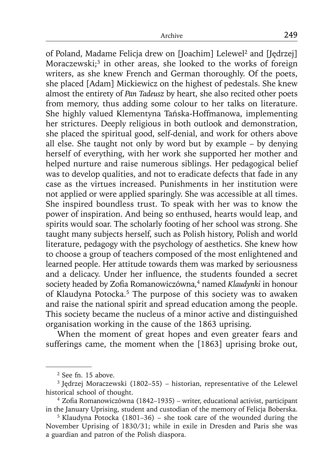of Poland, Madame Felicja drew on [Joachim] Lelewel2 and [Jędrzej] Moraczewski;<sup>3</sup> in other areas, she looked to the works of foreign writers, as she knew French and German thoroughly. Of the poets, she placed [Adam] Mickiewicz on the highest of pedestals. She knew almost the entirety of *Pan Tadeusz* by heart, she also recited other poets from memory, thus adding some colour to her talks on literature. She highly valued Klementyna Tańska-Hoffmanowa, implementing her strictures. Deeply religious in both outlook and demonstration, she placed the spiritual good, self-denial, and work for others above all else. She taught not only by word but by example – by denying herself of everything, with her work she supported her mother and helped nurture and raise numerous siblings. Her pedagogical belief was to develop qualities, and not to eradicate defects that fade in any case as the virtues increased. Punishments in her institution were not applied or were applied sparingly. She was accessible at all times. She inspired boundless trust. To speak with her was to know the power of inspiration. And being so enthused, hearts would leap, and spirits would soar. The scholarly footing of her school was strong. She taught many subjects herself, such as Polish history, Polish and world literature, pedagogy with the psychology of aesthetics. She knew how to choose a group of teachers composed of the most enlightened and learned people. Her attitude towards them was marked by seriousness and a delicacy. Under her influence, the students founded a secret society headed by Zofia Romanowiczówna,<sup>4</sup> named *Klaudynki* in honour of Klaudyna Potocka.<sup>5</sup> The purpose of this society was to awaken and raise the national spirit and spread education among the people. This society became the nucleus of a minor active and distinguished organisation working in the cause of the 1863 uprising.

When the moment of great hopes and even greater fears and sufferings came, the moment when the [1863] uprising broke out,

<sup>2</sup> See fn. 15 above.

<sup>3</sup> Jędrzej Moraczewski (1802–55) – historian, representative of the Lelewel historical school of thought.

 $4$  Zofia Romanowiczówna (1842–1935) – writer, educational activist, participant in the January Uprising, student and custodian of the memory of Felicja Boberska.

<sup>5</sup> Klaudyna Potocka (1801–36) – she took care of the wounded during the November Uprising of 1830/31; while in exile in Dresden and Paris she was a guardian and patron of the Polish diaspora.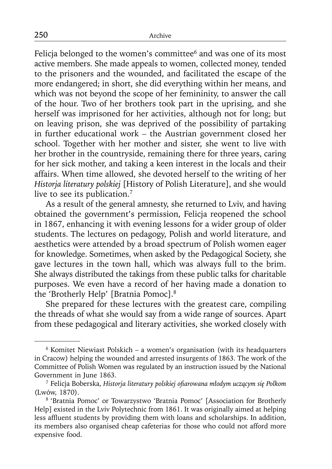Felicja belonged to the women's committee<sup>6</sup> and was one of its most active members. She made appeals to women, collected money, tended to the prisoners and the wounded, and facilitated the escape of the more endangered; in short, she did everything within her means, and which was not beyond the scope of her femininity, to answer the call of the hour. Two of her brothers took part in the uprising, and she herself was imprisoned for her activities, although not for long; but on leaving prison, she was deprived of the possibility of partaking in further educational work *–* the Austrian government closed her school. Together with her mother and sister, she went to live with her brother in the countryside, remaining there for three years, caring for her sick mother, and taking a keen interest in the locals and their affairs. When time allowed, she devoted herself to the writing of her *Historja literatury polskiej* [History of Polish Literature], and she would live to see its publication.<sup>7</sup>

As a result of the general amnesty, she returned to Lviv, and having obtained the government's permission, Felicja reopened the school in 1867, enhancing it with evening lessons for a wider group of older students. The lectures on pedagogy, Polish and world literature, and aesthetics were attended by a broad spectrum of Polish women eager for knowledge. Sometimes, when asked by the Pedagogical Society, she gave lectures in the town hall, which was always full to the brim. She always distributed the takings from these public talks for charitable purposes. We even have a record of her having made a donation to the 'Brotherly Help' [Bratnia Pomoc].8

She prepared for these lectures with the greatest care, compiling the threads of what she would say from a wide range of sources. Apart from these pedagogical and literary activities, she worked closely with

<sup>6</sup> Komitet Niewiast Polskich – a women's organisation (with its headquarters in Cracow) helping the wounded and arrested insurgents of 1863. The work of the Committee of Polish Women was regulated by an instruction issued by the National Government in June 1863.

<sup>7</sup> Felicja Boberska, *Historja literatury polskiej ofi arowana młodym uczącym się Polkom* (Lwów, 1870).

<sup>8 &#</sup>x27;Bratnia Pomoc' or Towarzystwo 'Bratnia Pomoc' [Association for Brotherly Help] existed in the Lviv Polytechnic from 1861. It was originally aimed at helping less affluent students by providing them with loans and scholarships. In addition, its members also organised cheap cafeterias for those who could not afford more expensive food.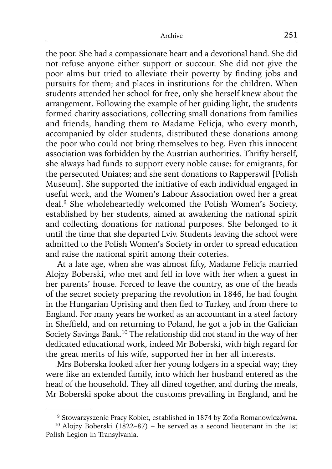the poor. She had a compassionate heart and a devotional hand. She did not refuse anyone either support or succour. She did not give the poor alms but tried to alleviate their poverty by finding jobs and pursuits for them; and places in institutions for the children. When students attended her school for free, only she herself knew about the arrangement. Following the example of her guiding light, the students formed charity associations, collecting small donations from families and friends, handing them to Madame Felicja, who every month, accompanied by older students, distributed these donations among the poor who could not bring themselves to beg. Even this innocent association was forbidden by the Austrian authorities. Thrifty herself, she always had funds to support every noble cause: for emigrants, for the persecuted Uniates; and she sent donations to Rapperswil [Polish Museum]. She supported the initiative of each individual engaged in useful work, and the Women's Labour Association owed her a great deal.9 She wholeheartedly welcomed the Polish Women's Society, established by her students, aimed at awakening the national spirit and collecting donations for national purposes. She belonged to it until the time that she departed Lviv. Students leaving the school were admitted to the Polish Women's Society in order to spread education and raise the national spirit among their coteries.

At a late age, when she was almost fifty, Madame Felicja married Alojzy Boberski, who met and fell in love with her when a guest in her parents' house. Forced to leave the country, as one of the heads of the secret society preparing the revolution in 1846, he had fought in the Hungarian Uprising and then fled to Turkey, and from there to England. For many years he worked as an accountant in a steel factory in Sheffield, and on returning to Poland, he got a job in the Galician Society Savings Bank.10 The relationship did not stand in the way of her dedicated educational work, indeed Mr Boberski, with high regard for the great merits of his wife, supported her in her all interests.

Mrs Boberska looked after her young lodgers in a special way; they were like an extended family, into which her husband entered as the head of the household. They all dined together, and during the meals, Mr Boberski spoke about the customs prevailing in England, and he

<sup>&</sup>lt;sup>9</sup> Stowarzyszenie Pracy Kobiet, established in 1874 by Zofia Romanowiczówna. <sup>10</sup> Alojzy Boberski (1822–87) – he served as a second lieutenant in the 1st

Polish Legion in Transylvania.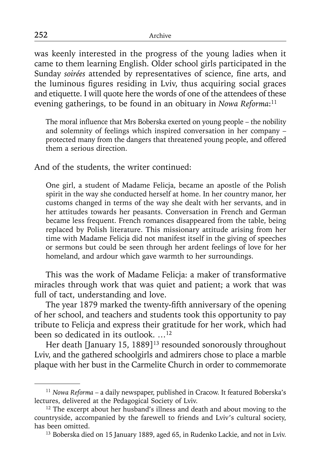was keenly interested in the progress of the young ladies when it came to them learning English. Older school girls participated in the Sunday soirées attended by representatives of science, fine arts, and the luminous figures residing in Lviv, thus acquiring social graces and etiquette. I will quote here the words of one of the attendees of these evening gatherings, to be found in an obituary in *Nowa Reforma*: 11

The moral influence that Mrs Boberska exerted on young people – the nobility and solemnity of feelings which inspired conversation in her company – protected many from the dangers that threatened young people, and offered them a serious direction.

And of the students, the writer continued:

One girl, a student of Madame Felicja, became an apostle of the Polish spirit in the way she conducted herself at home. In her country manor, her customs changed in terms of the way she dealt with her servants, and in her attitudes towards her peasants. Conversation in French and German became less frequent. French romances disappeared from the table, being replaced by Polish literature. This missionary attitude arising from her time with Madame Felicja did not manifest itself in the giving of speeches or sermons but could be seen through her ardent feelings of love for her homeland, and ardour which gave warmth to her surroundings.

This was the work of Madame Felicja: a maker of transformative miracles through work that was quiet and patient; a work that was full of tact, understanding and love.

The year 1879 marked the twenty-fifth anniversary of the opening of her school, and teachers and students took this opportunity to pay tribute to Felicja and express their gratitude for her work, which had been so dedicated in its outlook. …12

Her death [January 15, 1889]<sup>13</sup> resounded sonorously throughout Lviv, and the gathered schoolgirls and admirers chose to place a marble plaque with her bust in the Carmelite Church in order to commemorate

<sup>&</sup>lt;sup>11</sup> Nowa Reforma - a daily newspaper, published in Cracow. It featured Boberska's lectures, delivered at the Pedagogical Society of Lviv.

<sup>&</sup>lt;sup>12</sup> The excerpt about her husband's illness and death and about moving to the countryside, accompanied by the farewell to friends and Lviv's cultural society, has been omitted.

<sup>&</sup>lt;sup>13</sup> Boberska died on 15 January 1889, aged 65, in Rudenko Lackie, and not in Lviv.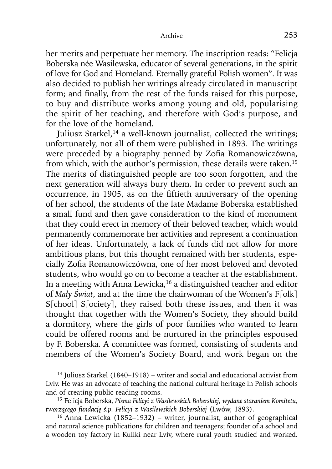her merits and perpetuate her memory. The inscription reads: "Felicja Boberska née Wasilewska, educator of several generations, in the spirit of love for God and Homeland. Eternally grateful Polish women". It was also decided to publish her writings already circulated in manuscript form; and finally, from the rest of the funds raised for this purpose, to buy and distribute works among young and old, popularising the spirit of her teaching, and therefore with God's purpose, and for the love of the homeland.

Juliusz Starkel,<sup>14</sup> a well-known journalist, collected the writings; unfortunately, not all of them were published in 1893. The writings were preceded by a biography penned by Zofia Romanowiczówna, from which, with the author's permission, these details were taken.15 The merits of distinguished people are too soon forgotten, and the next generation will always bury them. In order to prevent such an occurrence, in 1905, as on the fiftieth anniversary of the opening of her school, the students of the late Madame Boberska established a small fund and then gave consideration to the kind of monument that they could erect in memory of their beloved teacher, which would permanently commemorate her activities and represent a continuation of her ideas. Unfortunately, a lack of funds did not allow for more ambitious plans, but this thought remained with her students, especially Zofia Romanowiczówna, one of her most beloved and devoted students, who would go on to become a teacher at the establishment. In a meeting with Anna Lewicka,  $16$  a distinguished teacher and editor of *Mały Świat*, and at the time the chairwoman of the Women's F[olk] S[chool] S[ociety], they raised both these issues, and then it was thought that together with the Women's Society, they should build a dormitory, where the girls of poor families who wanted to learn could be offered rooms and be nurtured in the principles espoused by F. Boberska. A committee was formed, consisting of students and members of the Women's Society Board, and work began on the

 $14$  Juliusz Starkel (1840–1918) – writer and social and educational activist from Lviv. He was an advocate of teaching the national cultural heritage in Polish schools and of creating public reading rooms.

<sup>15</sup> Felicja Boberska, *Pisma Felicyi z Wasilewskich Boberskiej, wydane staraniem Komitetu, tworzącego fundację ś.p. Felicyi z Wasilewskich Boberskiej* (Lwów, 1893).

<sup>16</sup> Anna Lewicka (1852–1932) – writer, journalist, author of geographical and natural science publications for children and teenagers; founder of a school and a wooden toy factory in Kuliki near Lviv, where rural youth studied and worked.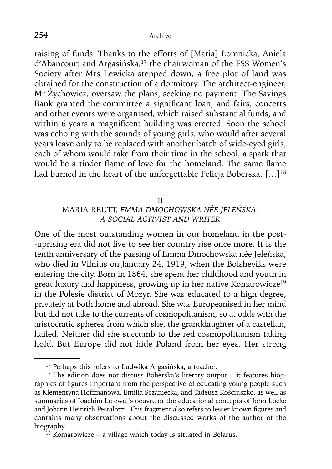raising of funds. Thanks to the efforts of [Maria] Łomnicka, Aniela d'Abancourt and Argasińska,<sup>17</sup> the chairwoman of the FSS Women's Society after Mrs Lewicka stepped down, a free plot of land was obtained for the construction of a dormitory. The architect-engineer, Mr Żychowicz, oversaw the plans, seeking no payment. The Savings Bank granted the committee a significant loan, and fairs, concerts and other events were organised, which raised substantial funds, and within 6 years a magnificent building was erected. Soon the school was echoing with the sounds of young girls, who would after several years leave only to be replaced with another batch of wide-eyed girls, each of whom would take from their time in the school, a spark that would be a tinder flame of love for the homeland. The same flame had burned in the heart of the unforgettable Felicja Boberska. [...]<sup>18</sup>

### II

## MARIA REUTT, *EMMA DMOCHOWSKA NÉE JELEŃSKA. A SOCIAL ACTIVIST AND WRITER*

One of the most outstanding women in our homeland in the post- -uprising era did not live to see her country rise once more. It is the tenth anniversary of the passing of Emma Dmochowska née Jeleńska, who died in Vilnius on January 24, 1919, when the Bolsheviks were entering the city. Born in 1864, she spent her childhood and youth in great luxury and happiness, growing up in her native Komarowicze19 in the Polesie district of Mozyr. She was educated to a high degree, privately at both home and abroad. She was Europeanised in her mind but did not take to the currents of cosmopolitanism, so at odds with the aristocratic spheres from which she, the granddaughter of a castellan, hailed. Neither did she succumb to the red cosmopolitanism taking hold. But Europe did not hide Poland from her eyes. Her strong

<sup>&</sup>lt;sup>17</sup> Perhaps this refers to Ludwika Argasińska, a teacher.<br><sup>18</sup> The edition does not discuss Boberska's literary output – it features biographies of figures important from the perspective of educating young people such as Klementyna Hoffmanowa, Emilia Sczaniecka, and Tadeusz Kościuszko, as well as summaries of Joachim Lelewel's oeuvre or the educational concepts of John Locke and Johann Heinrich Pestalozzi. This fragment also refers to lesser known figures and contains many observations about the discussed works of the author of the biography.

 $19$  Komarowicze – a village which today is situated in Belarus.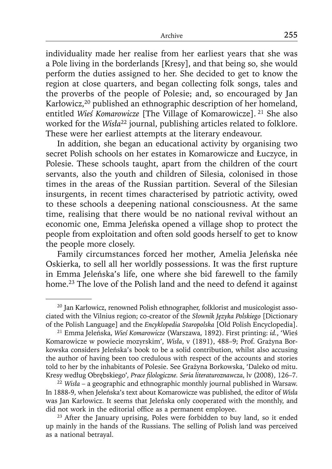individuality made her realise from her earliest years that she was a Pole living in the borderlands [Kresy], and that being so, she would perform the duties assigned to her. She decided to get to know the region at close quarters, and began collecting folk songs, tales and the proverbs of the people of Polesie; and, so encouraged by Jan Karłowicz,<sup>20</sup> published an ethnographic description of her homeland, entitled *Wieś Komarowicze* [The Village of Komarowicze]. 21 She also worked for the *Wisła*22 journal, publishing articles related to folklore. These were her earliest attempts at the literary endeavour.

In addition, she began an educational activity by organising two secret Polish schools on her estates in Komarowicze and Łuczyce, in Polesie. These schools taught, apart from the children of the court servants, also the youth and children of Silesia, colonised in those times in the areas of the Russian partition. Several of the Silesian insurgents, in recent times characterised by patriotic activity, owed to these schools a deepening national consciousness. At the same time, realising that there would be no national revival without an economic one, Emma Jeleńska opened a village shop to protect the people from exploitation and often sold goods herself to get to know the people more closely.

Family circumstances forced her mother, Amelia Jeleńska née Oskierka, to sell all her worldly possessions. It was the first rupture in Emma Jeleńska's life, one where she bid farewell to the family home.<sup>23</sup> The love of the Polish land and the need to defend it against

<sup>&</sup>lt;sup>20</sup> Jan Karłowicz, renowned Polish ethnographer, folklorist and musicologist associated with the Vilnius region; co-creator of the Słownik Języka Polskiego [Dictionary of the Polish Language] and the *Encyklopedia Staropolska* [Old Polish Encyclopedia].

<sup>21</sup> Emma Jeleńska, *Wieś Komarowicze* (Warszawa, 1892). First printing: *id.*, 'Wieś Komarowicze w powiecie mozyrskim', *Wisła*, v (1891), 488–9; Prof. Grażyna Borkowska considers Jeleńska's book to be a solid contribution, whilst also accusing the author of having been too credulous with respect of the accounts and stories told to her by the inhabitants of Polesie. See Grażyna Borkowska, 'Daleko od mitu. Kresy według Obrębskiego'*, Prace fi lologiczne. Seria literaturoznawcza*, lv (2008), 126–7. 22 *Wisła* – a geographic and ethnographic monthly journal published in Warsaw.

In 1888-9, when Jeleńska's text about Komarowicze was published, the editor of *Wisła* was Jan Karłowicz. It seems that Jeleńska only cooperated with the monthly, and did not work in the editorial office as a permanent employee.

 $23$  After the January uprising, Poles were forbidden to buy land, so it ended up mainly in the hands of the Russians. The selling of Polish land was perceived as a national betrayal.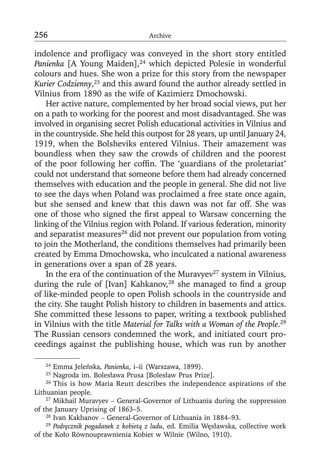indolence and profligacy was conveyed in the short story entitled Panienka [A Young Maiden],<sup>24</sup> which depicted Polesie in wonderful colours and hues. She won a prize for this story from the newspaper *Kurier Codzienny*, 25 and this award found the author already settled in Vilnius from 1890 as the wife of Kazimierz Dmochowski.

Her active nature, complemented by her broad social views, put her on a path to working for the poorest and most disadvantaged. She was involved in organising secret Polish educational activities in Vilnius and in the countryside. She held this outpost for 28 years, up until January 24, 1919, when the Bolsheviks entered Vilnius. Their amazement was boundless when they saw the crowds of children and the poorest of the poor following her coffin. The 'guardians of the proletariat' could not understand that someone before them had already concerned themselves with education and the people in general. She did not live to see the days when Poland was proclaimed a free state once again, but she sensed and knew that this dawn was not far off. She was one of those who signed the first appeal to Warsaw concerning the linking of the Vilnius region with Poland. If various federation, minority and separatist measures $26$  did not prevent our population from voting to join the Motherland, the conditions themselves had primarily been created by Emma Dmochowska, who inculcated a national awareness in generations over a span of 28 years.

In the era of the continuation of the Muravyev<sup>27</sup> system in Vilnius, during the rule of [Ivan] Kahkanov,<sup>28</sup> she managed to find a group of like-minded people to open Polish schools in the countryside and the city. She taught Polish history to children in basements and attics. She committed these lessons to paper, writing a textbook published in Vilnius with the title *Material for Talks with a Woman of the People*. 29 The Russian censors condemned the work, and initiated court proceedings against the publishing house, which was run by another

<sup>24</sup> Emma Jeleńska, *Panienka*, i–ii (Warszawa, 1899).

<sup>25</sup> Nagroda im. Bolesława Prusa [Bolesław Prus Prize].

<sup>&</sup>lt;sup>26</sup> This is how Maria Reutt describes the independence aspirations of the Lithuanian people.

 $27$  Mikhail Muravyev – General-Governor of Lithuania during the suppression of the January Uprising of 1863–5.

<sup>28</sup> Ivan Kakhanov – General-Governor of Lithuania in 1884–93. 29 *Podręcznik pogadanek z kobietą z ludu*, ed. Emilia Węsławska, collective work of the Koło Równouprawnienia Kobiet w Wilnie (Wilno, 1910).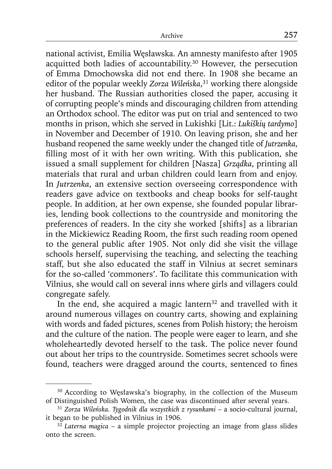national activist, Emilia Węsławska. An amnesty manifesto after 1905 acquitted both ladies of accountability.<sup>30</sup> However, the persecution of Emma Dmochowska did not end there. In 1908 she became an editor of the popular weekly *Zorza Wileńska*, 31 working there alongside her husband. The Russian authorities closed the paper, accusing it of corrupting people's minds and discouraging children from attending an Orthodox school. The editor was put on trial and sentenced to two months in prison, which she served in Lukishki [Lit.: *Lukiškių tardymo*] in November and December of 1910. On leaving prison, she and her husband reopened the same weekly under the changed title of *Jutrzenka*, filling most of it with her own writing. With this publication, she issued a small supplement for children [Nasza] *Grządka*, printing all materials that rural and urban children could learn from and enjoy. In *Jutrzenka*, an extensive section overseeing correspondence with readers gave advice on textbooks and cheap books for self-taught people. In addition, at her own expense, she founded popular libraries, lending book collections to the countryside and monitoring the preferences of readers. In the city she worked [shifts] as a librarian in the Mickiewicz Reading Room, the first such reading room opened to the general public after 1905. Not only did she visit the village schools herself, supervising the teaching, and selecting the teaching staff, but she also educated the staff in Vilnius at secret seminars for the so-called 'commoners'. To facilitate this communication with Vilnius, she would call on several inns where girls and villagers could congregate safely.

In the end, she acquired a magic lantern<sup>32</sup> and travelled with it around numerous villages on country carts, showing and explaining with words and faded pictures, scenes from Polish history; the heroism and the culture of the nation. The people were eager to learn, and she wholeheartedly devoted herself to the task. The police never found out about her trips to the countryside. Sometimes secret schools were found, teachers were dragged around the courts, sentenced to fines

<sup>&</sup>lt;sup>30</sup> According to Węsławska's biography, in the collection of the Museum of Distinguished Polish Women, the case was discontinued after several years.

<sup>31</sup>*Zorza Wileńska. Tygodnik dla wszystkich z rysunkami* – a socio-cultural journal, it began to be published in Vilnius in 1906. 32 *Laterna magica* – a simple projector projecting an image from glass slides

onto the screen.